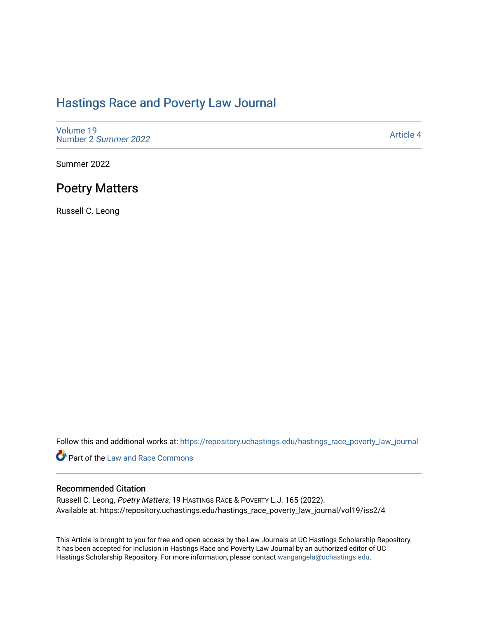### [Hastings Race and Poverty Law Journal](https://repository.uchastings.edu/hastings_race_poverty_law_journal)

[Volume 19](https://repository.uchastings.edu/hastings_race_poverty_law_journal/vol19) [Number 2](https://repository.uchastings.edu/hastings_race_poverty_law_journal/vol19/iss2) Summer 2022

[Article 4](https://repository.uchastings.edu/hastings_race_poverty_law_journal/vol19/iss2/4) 

Summer 2022

## Poetry Matters

Russell C. Leong

Follow this and additional works at: [https://repository.uchastings.edu/hastings\\_race\\_poverty\\_law\\_journal](https://repository.uchastings.edu/hastings_race_poverty_law_journal?utm_source=repository.uchastings.edu%2Fhastings_race_poverty_law_journal%2Fvol19%2Fiss2%2F4&utm_medium=PDF&utm_campaign=PDFCoverPages) 

Part of the [Law and Race Commons](https://network.bepress.com/hgg/discipline/1300?utm_source=repository.uchastings.edu%2Fhastings_race_poverty_law_journal%2Fvol19%2Fiss2%2F4&utm_medium=PDF&utm_campaign=PDFCoverPages) 

### Recommended Citation

Russell C. Leong, Poetry Matters, 19 HASTINGS RACE & POVERTY L.J. 165 (2022). Available at: https://repository.uchastings.edu/hastings\_race\_poverty\_law\_journal/vol19/iss2/4

This Article is brought to you for free and open access by the Law Journals at UC Hastings Scholarship Repository. It has been accepted for inclusion in Hastings Race and Poverty Law Journal by an authorized editor of UC Hastings Scholarship Repository. For more information, please contact [wangangela@uchastings.edu.](mailto:wangangela@uchastings.edu)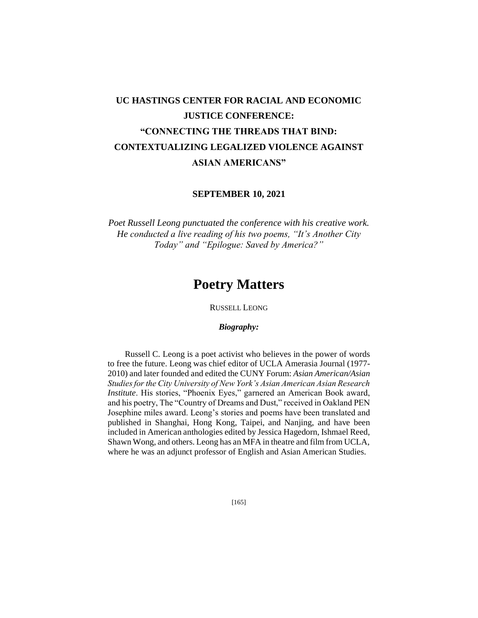# **UC HASTINGS CENTER FOR RACIAL AND ECONOMIC JUSTICE CONFERENCE: "CONNECTING THE THREADS THAT BIND: CONTEXTUALIZING LEGALIZED VIOLENCE AGAINST ASIAN AMERICANS"**

**SEPTEMBER 10, 2021**

*Poet Russell Leong punctuated the conference with his creative work. He conducted a live reading of his two poems, "It's Another City Today" and "Epilogue: Saved by America?"*

## **Poetry Matters**

RUSSELL LEONG

#### *Biography:*

Russell C. Leong is a poet activist who believes in the power of words to free the future. Leong was chief editor of UCLA Amerasia Journal (1977- 2010) and later founded and edited the CUNY Forum: *Asian American/Asian Studies for the City University of New York's Asian American Asian Research Institute*. His stories, "Phoenix Eyes," garnered an American Book award, and his poetry, The "Country of Dreams and Dust," received in Oakland PEN Josephine miles award. Leong's stories and poems have been translated and published in Shanghai, Hong Kong, Taipei, and Nanjing, and have been included in American anthologies edited by Jessica Hagedorn, Ishmael Reed, Shawn Wong, and others. Leong has an MFA in theatre and film from UCLA, where he was an adjunct professor of English and Asian American Studies.

[165]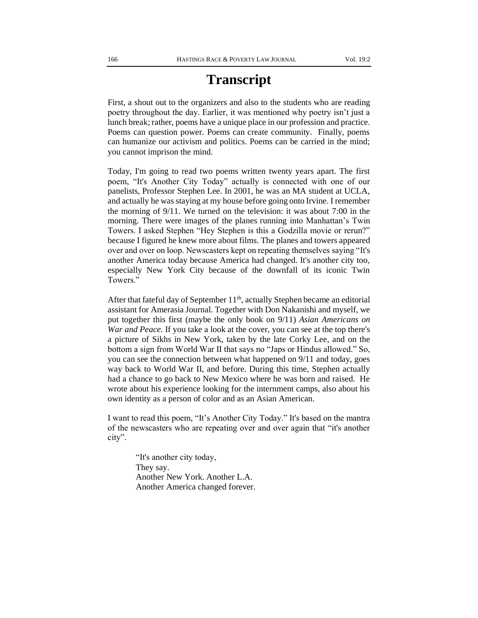# **Transcript**

First, a shout out to the organizers and also to the students who are reading poetry throughout the day. Earlier, it was mentioned why poetry isn't just a lunch break; rather, poems have a unique place in our profession and practice. Poems can question power. Poems can create community. Finally, poems can humanize our activism and politics. Poems can be carried in the mind; you cannot imprison the mind.

Today, I'm going to read two poems written twenty years apart. The first poem, "It's Another City Today" actually is connected with one of our panelists, Professor Stephen Lee. In 2001, he was an MA student at UCLA, and actually he was staying at my house before going onto Irvine. I remember the morning of 9/11. We turned on the television: it was about 7:00 in the morning. There were images of the planes running into Manhattan's Twin Towers. I asked Stephen "Hey Stephen is this a Godzilla movie or rerun?" because I figured he knew more about films. The planes and towers appeared over and over on loop. Newscasters kept on repeating themselves saying "It's another America today because America had changed. It's another city too, especially New York City because of the downfall of its iconic Twin Towers."

After that fateful day of September  $11<sup>th</sup>$ , actually Stephen became an editorial assistant for Amerasia Journal. Together with Don Nakanishi and myself, we put together this first (maybe the only book on 9/11) *Asian Americans on War and Peace.* If you take a look at the cover, you can see at the top there's a picture of Sikhs in New York, taken by the late Corky Lee, and on the bottom a sign from World War II that says no "Japs or Hindus allowed." So, you can see the connection between what happened on 9/11 and today, goes way back to World War II, and before. During this time, Stephen actually had a chance to go back to New Mexico where he was born and raised. He wrote about his experience looking for the internment camps, also about his own identity as a person of color and as an Asian American.

I want to read this poem, "It's Another City Today." It's based on the mantra of the newscasters who are repeating over and over again that "it's another city".

> "It's another city today, They say. Another New York. Another L.A. Another America changed forever.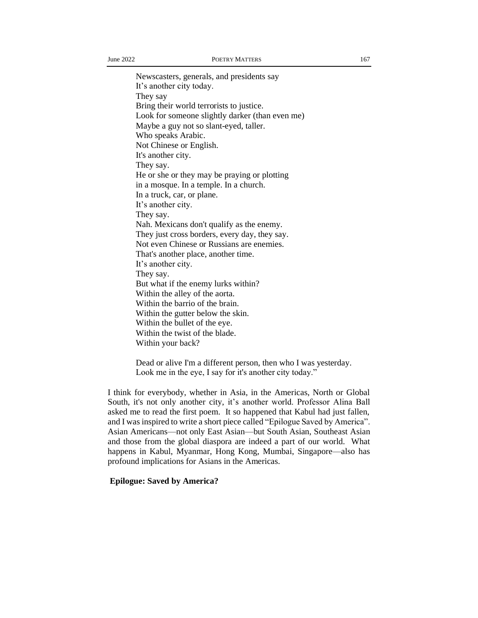Newscasters, generals, and presidents say It's another city today. They say Bring their world terrorists to justice. Look for someone slightly darker (than even me) Maybe a guy not so slant-eyed, taller. Who speaks Arabic. Not Chinese or English. It's another city. They say. He or she or they may be praying or plotting in a mosque. In a temple. In a church. In a truck, car, or plane. It's another city. They say. Nah. Mexicans don't qualify as the enemy. They just cross borders, every day, they say. Not even Chinese or Russians are enemies. That's another place, another time. It's another city. They say. But what if the enemy lurks within? Within the alley of the aorta. Within the barrio of the brain. Within the gutter below the skin. Within the bullet of the eye. Within the twist of the blade. Within your back?

Dead or alive I'm a different person, then who I was yesterday. Look me in the eye, I say for it's another city today."

I think for everybody, whether in Asia, in the Americas, North or Global South, it's not only another city, it's another world. Professor Alina Ball asked me to read the first poem. It so happened that Kabul had just fallen, and I was inspired to write a short piece called "Epilogue Saved by America". Asian Americans—not only East Asian—but South Asian, Southeast Asian and those from the global diaspora are indeed a part of our world. What happens in Kabul, Myanmar, Hong Kong, Mumbai, Singapore—also has profound implications for Asians in the Americas.

### **Epilogue: Saved by America?**